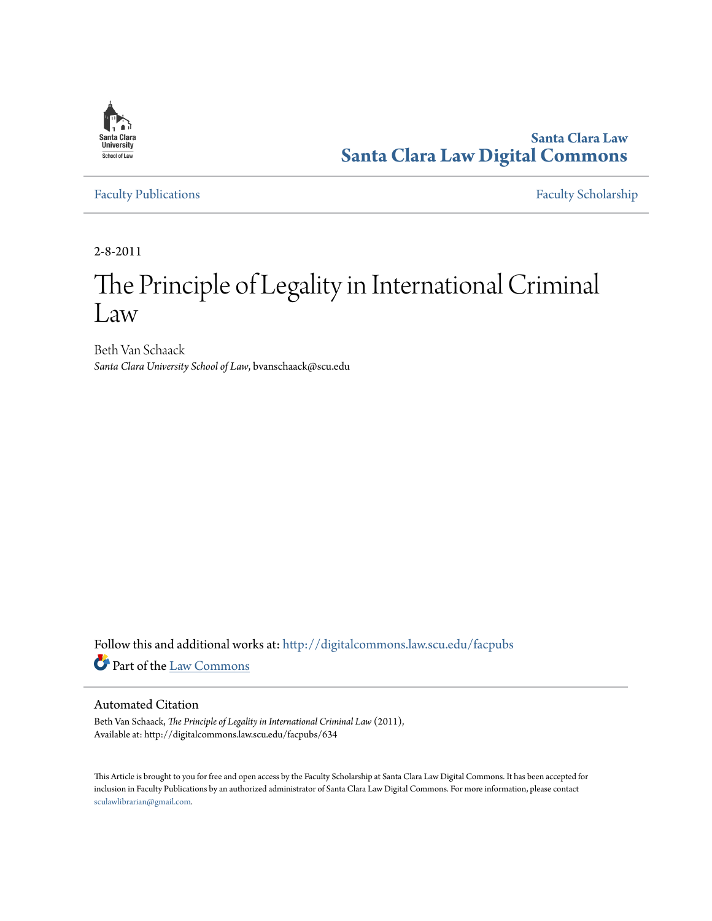

**Santa Clara Law [Santa Clara Law Digital Commons](http://digitalcommons.law.scu.edu?utm_source=digitalcommons.law.scu.edu%2Ffacpubs%2F634&utm_medium=PDF&utm_campaign=PDFCoverPages)**

[Faculty Publications](http://digitalcommons.law.scu.edu/facpubs?utm_source=digitalcommons.law.scu.edu%2Ffacpubs%2F634&utm_medium=PDF&utm_campaign=PDFCoverPages) [Faculty Scholarship](http://digitalcommons.law.scu.edu/faculty?utm_source=digitalcommons.law.scu.edu%2Ffacpubs%2F634&utm_medium=PDF&utm_campaign=PDFCoverPages)

2-8-2011

# The Principle of Legality in International Criminal Law

Beth Van Schaack *Santa Clara University School of Law*, bvanschaack@scu.edu

Follow this and additional works at: [http://digitalcommons.law.scu.edu/facpubs](http://digitalcommons.law.scu.edu/facpubs?utm_source=digitalcommons.law.scu.edu%2Ffacpubs%2F634&utm_medium=PDF&utm_campaign=PDFCoverPages) Part of the [Law Commons](http://network.bepress.com/hgg/discipline/578?utm_source=digitalcommons.law.scu.edu%2Ffacpubs%2F634&utm_medium=PDF&utm_campaign=PDFCoverPages)

# Automated Citation

Beth Van Schaack, *The Principle of Legality in International Criminal Law* (2011), Available at: http://digitalcommons.law.scu.edu/facpubs/634

This Article is brought to you for free and open access by the Faculty Scholarship at Santa Clara Law Digital Commons. It has been accepted for inclusion in Faculty Publications by an authorized administrator of Santa Clara Law Digital Commons. For more information, please contact [sculawlibrarian@gmail.com](mailto:sculawlibrarian@gmail.com).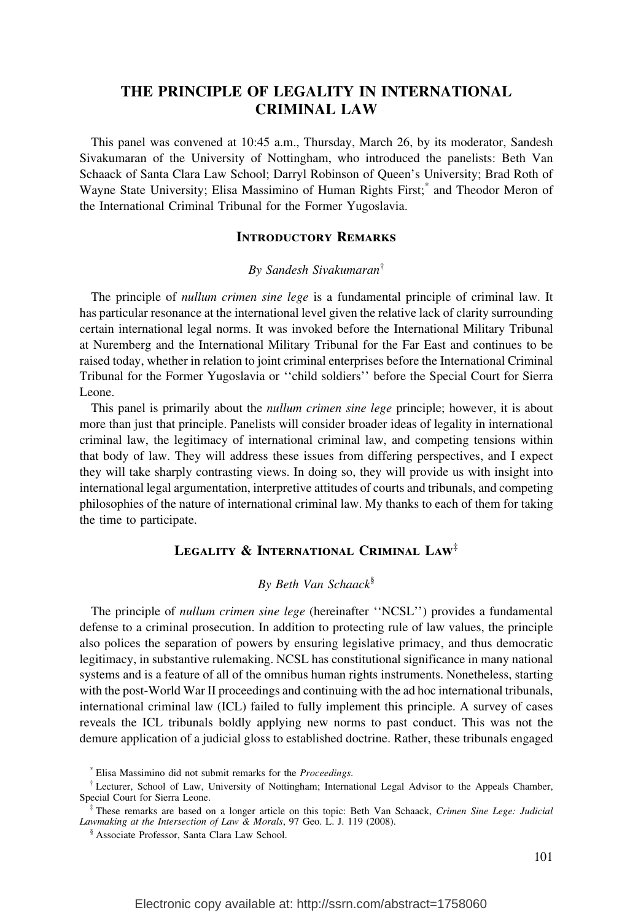# **THE PRINCIPLE OF LEGALITY IN INTERNATIONAL CRIMINAL LAW**

This panel was convened at 10:45 a.m., Thursday, March 26, by its moderator, Sandesh Sivakumaran of the University of Nottingham, who introduced the panelists: Beth Van Schaack of Santa Clara Law School; Darryl Robinson of Queen's University; Brad Roth of Wayne State University; Elisa Massimino of Human Rights First; \* and Theodor Meron of the International Criminal Tribunal for the Former Yugoslavia.

## **Introductory Remarks**

#### *By Sandesh Sivakumaran*†

The principle of *nullum crimen sine lege* is a fundamental principle of criminal law. It has particular resonance at the international level given the relative lack of clarity surrounding certain international legal norms. It was invoked before the International Military Tribunal at Nuremberg and the International Military Tribunal for the Far East and continues to be raised today, whether in relation to joint criminal enterprises before the International Criminal Tribunal for the Former Yugoslavia or ''child soldiers'' before the Special Court for Sierra Leone.

This panel is primarily about the *nullum crimen sine lege* principle; however, it is about more than just that principle. Panelists will consider broader ideas of legality in international criminal law, the legitimacy of international criminal law, and competing tensions within that body of law. They will address these issues from differing perspectives, and I expect they will take sharply contrasting views. In doing so, they will provide us with insight into international legal argumentation, interpretive attitudes of courts and tribunals, and competing philosophies of the nature of international criminal law. My thanks to each of them for taking the time to participate.

## **Legality & International Criminal Law**‡

#### *By Beth Van Schaack*§

The principle of *nullum crimen sine lege* (hereinafter ''NCSL'') provides a fundamental defense to a criminal prosecution. In addition to protecting rule of law values, the principle also polices the separation of powers by ensuring legislative primacy, and thus democratic legitimacy, in substantive rulemaking. NCSL has constitutional significance in many national systems and is a feature of all of the omnibus human rights instruments. Nonetheless, starting with the post-World War II proceedings and continuing with the ad hoc international tribunals, international criminal law (ICL) failed to fully implement this principle. A survey of cases reveals the ICL tribunals boldly applying new norms to past conduct. This was not the demure application of a judicial gloss to established doctrine. Rather, these tribunals engaged

<sup>\*</sup> Elisa Massimino did not submit remarks for the *Proceedings*.

<sup>†</sup> Lecturer, School of Law, University of Nottingham; International Legal Advisor to the Appeals Chamber, Special Court for Sierra Leone.

<sup>‡</sup> These remarks are based on a longer article on this topic: Beth Van Schaack, *Crimen Sine Lege: Judicial Lawmaking at the Intersection of Law & Morals*, 97 Geo. L. J. 119 (2008).

<sup>§</sup> Associate Professor, Santa Clara Law School.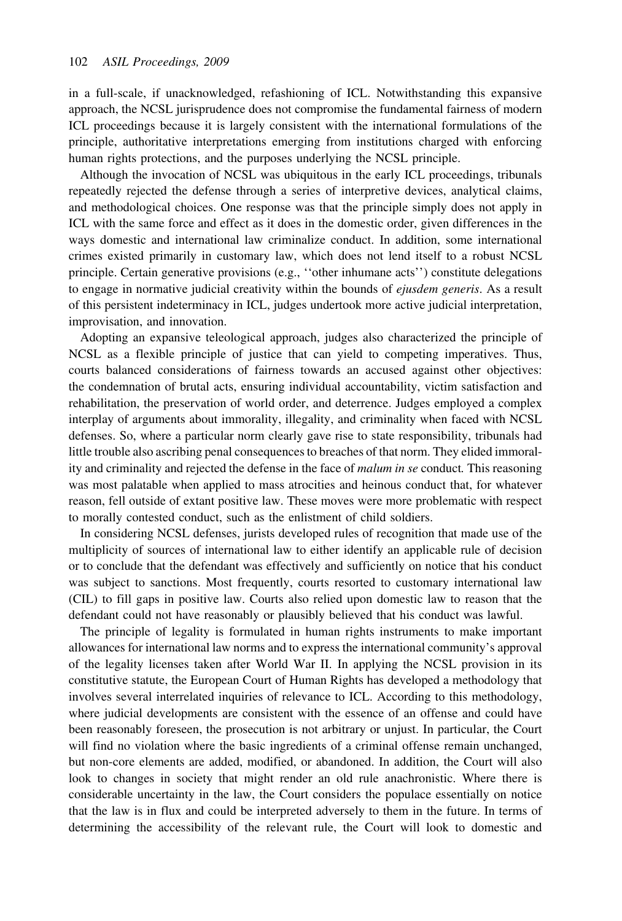in a full-scale, if unacknowledged, refashioning of ICL. Notwithstanding this expansive approach, the NCSL jurisprudence does not compromise the fundamental fairness of modern ICL proceedings because it is largely consistent with the international formulations of the principle, authoritative interpretations emerging from institutions charged with enforcing human rights protections, and the purposes underlying the NCSL principle.

Although the invocation of NCSL was ubiquitous in the early ICL proceedings, tribunals repeatedly rejected the defense through a series of interpretive devices, analytical claims, and methodological choices. One response was that the principle simply does not apply in ICL with the same force and effect as it does in the domestic order, given differences in the ways domestic and international law criminalize conduct. In addition, some international crimes existed primarily in customary law, which does not lend itself to a robust NCSL principle. Certain generative provisions (e.g., ''other inhumane acts'') constitute delegations to engage in normative judicial creativity within the bounds of *ejusdem generis*. As a result of this persistent indeterminacy in ICL, judges undertook more active judicial interpretation, improvisation, and innovation.

Adopting an expansive teleological approach, judges also characterized the principle of NCSL as a flexible principle of justice that can yield to competing imperatives. Thus, courts balanced considerations of fairness towards an accused against other objectives: the condemnation of brutal acts, ensuring individual accountability, victim satisfaction and rehabilitation, the preservation of world order, and deterrence. Judges employed a complex interplay of arguments about immorality, illegality, and criminality when faced with NCSL defenses. So, where a particular norm clearly gave rise to state responsibility, tribunals had little trouble also ascribing penal consequences to breaches of that norm. They elided immorality and criminality and rejected the defense in the face of *malum in se* conduct*.* This reasoning was most palatable when applied to mass atrocities and heinous conduct that, for whatever reason, fell outside of extant positive law. These moves were more problematic with respect to morally contested conduct, such as the enlistment of child soldiers.

In considering NCSL defenses, jurists developed rules of recognition that made use of the multiplicity of sources of international law to either identify an applicable rule of decision or to conclude that the defendant was effectively and sufficiently on notice that his conduct was subject to sanctions. Most frequently, courts resorted to customary international law (CIL) to fill gaps in positive law. Courts also relied upon domestic law to reason that the defendant could not have reasonably or plausibly believed that his conduct was lawful.

The principle of legality is formulated in human rights instruments to make important allowances for international law norms and to express the international community's approval of the legality licenses taken after World War II. In applying the NCSL provision in its constitutive statute, the European Court of Human Rights has developed a methodology that involves several interrelated inquiries of relevance to ICL. According to this methodology, where judicial developments are consistent with the essence of an offense and could have been reasonably foreseen, the prosecution is not arbitrary or unjust. In particular, the Court will find no violation where the basic ingredients of a criminal offense remain unchanged, but non-core elements are added, modified, or abandoned. In addition, the Court will also look to changes in society that might render an old rule anachronistic. Where there is considerable uncertainty in the law, the Court considers the populace essentially on notice that the law is in flux and could be interpreted adversely to them in the future. In terms of determining the accessibility of the relevant rule, the Court will look to domestic and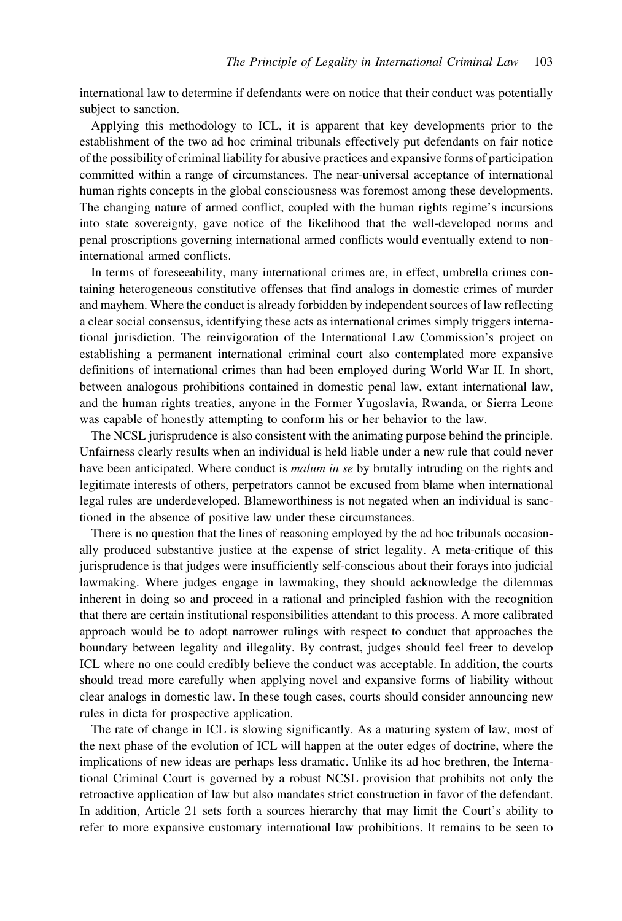international law to determine if defendants were on notice that their conduct was potentially subject to sanction.

Applying this methodology to ICL, it is apparent that key developments prior to the establishment of the two ad hoc criminal tribunals effectively put defendants on fair notice of the possibility of criminal liability for abusive practices and expansive forms of participation committed within a range of circumstances. The near-universal acceptance of international human rights concepts in the global consciousness was foremost among these developments. The changing nature of armed conflict, coupled with the human rights regime's incursions into state sovereignty, gave notice of the likelihood that the well-developed norms and penal proscriptions governing international armed conflicts would eventually extend to noninternational armed conflicts.

In terms of foreseeability, many international crimes are, in effect, umbrella crimes containing heterogeneous constitutive offenses that find analogs in domestic crimes of murder and mayhem. Where the conduct is already forbidden by independent sources of law reflecting a clear social consensus, identifying these acts as international crimes simply triggers international jurisdiction. The reinvigoration of the International Law Commission's project on establishing a permanent international criminal court also contemplated more expansive definitions of international crimes than had been employed during World War II. In short, between analogous prohibitions contained in domestic penal law, extant international law, and the human rights treaties, anyone in the Former Yugoslavia, Rwanda, or Sierra Leone was capable of honestly attempting to conform his or her behavior to the law.

The NCSL jurisprudence is also consistent with the animating purpose behind the principle. Unfairness clearly results when an individual is held liable under a new rule that could never have been anticipated. Where conduct is *malum in se* by brutally intruding on the rights and legitimate interests of others, perpetrators cannot be excused from blame when international legal rules are underdeveloped. Blameworthiness is not negated when an individual is sanctioned in the absence of positive law under these circumstances.

There is no question that the lines of reasoning employed by the ad hoc tribunals occasionally produced substantive justice at the expense of strict legality. A meta-critique of this jurisprudence is that judges were insufficiently self-conscious about their forays into judicial lawmaking. Where judges engage in lawmaking, they should acknowledge the dilemmas inherent in doing so and proceed in a rational and principled fashion with the recognition that there are certain institutional responsibilities attendant to this process. A more calibrated approach would be to adopt narrower rulings with respect to conduct that approaches the boundary between legality and illegality. By contrast, judges should feel freer to develop ICL where no one could credibly believe the conduct was acceptable. In addition, the courts should tread more carefully when applying novel and expansive forms of liability without clear analogs in domestic law. In these tough cases, courts should consider announcing new rules in dicta for prospective application.

The rate of change in ICL is slowing significantly. As a maturing system of law, most of the next phase of the evolution of ICL will happen at the outer edges of doctrine, where the implications of new ideas are perhaps less dramatic. Unlike its ad hoc brethren, the International Criminal Court is governed by a robust NCSL provision that prohibits not only the retroactive application of law but also mandates strict construction in favor of the defendant. In addition, Article 21 sets forth a sources hierarchy that may limit the Court's ability to refer to more expansive customary international law prohibitions. It remains to be seen to